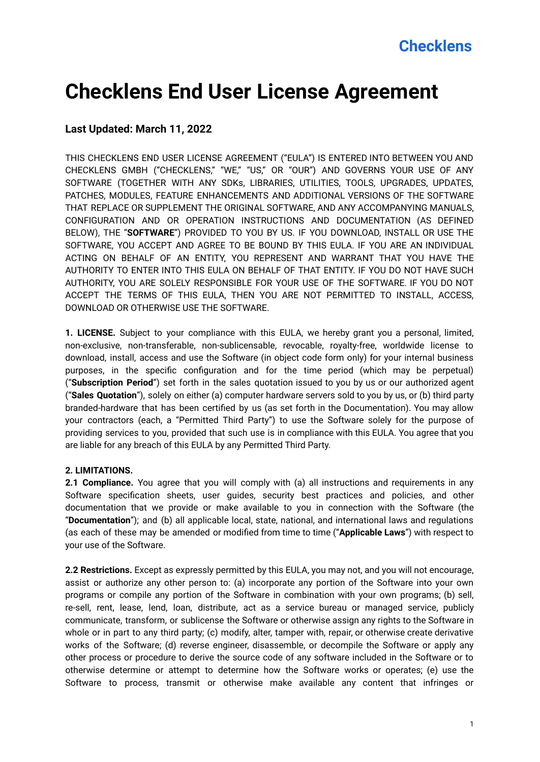# **Checklens End User License Agreement**

#### **Last Updated: March 11, 2022**

THIS CHECKLENS END USER LICENSE AGREEMENT ("EULA") IS ENTERED INTO BETWEEN YOU AND CHECKLENS GMBH ("CHECKLENS," "WE," "US," OR "OUR") AND GOVERNS YOUR USE OF ANY SOFTWARE (TOGETHER WITH ANY SDKs, LIBRARIES, UTILITIES, TOOLS, UPGRADES, UPDATES, PATCHES, MODULES, FEATURE ENHANCEMENTS AND ADDITIONAL VERSIONS OF THE SOFTWARE THAT REPLACE OR SUPPLEMENT THE ORIGINAL SOFTWARE, AND ANY ACCOMPANYING MANUALS, CONFIGURATION AND OR OPERATION INSTRUCTIONS AND DOCUMENTATION (AS DEFINED BELOW), THE "**SOFTWARE**") PROVIDED TO YOU BY US. IF YOU DOWNLOAD, INSTALL OR USE THE SOFTWARE, YOU ACCEPT AND AGREE TO BE BOUND BY THIS EULA. IF YOU ARE AN INDIVIDUAL ACTING ON BEHALF OF AN ENTITY, YOU REPRESENT AND WARRANT THAT YOU HAVE THE AUTHORITY TO ENTER INTO THIS EULA ON BEHALF OF THAT ENTITY. IF YOU DO NOT HAVE SUCH AUTHORITY, YOU ARE SOLELY RESPONSIBLE FOR YOUR USE OF THE SOFTWARE. IF YOU DO NOT ACCEPT THE TERMS OF THIS EULA, THEN YOU ARE NOT PERMITTED TO INSTALL, ACCESS, DOWNLOAD OR OTHERWISE USE THE SOFTWARE.

**1. LICENSE.** Subject to your compliance with this EULA, we hereby grant you a personal, limited, non-exclusive, non-transferable, non-sublicensable, revocable, royalty-free, worldwide license to download, install, access and use the Software (in object code form only) for your internal business purposes, in the specific configuration and for the time period (which may be perpetual) ("**Subscription Period**") set forth in the sales quotation issued to you by us or our authorized agent ("**Sales Quotation**"), solely on either (a) computer hardware servers sold to you by us, or (b) third party branded-hardware that has been certified by us (as set forth in the Documentation). You may allow your contractors (each, a "Permitted Third Party") to use the Software solely for the purpose of providing services to you, provided that such use is in compliance with this EULA. You agree that you are liable for any breach of this EULA by any Permitted Third Party.

#### **2. LIMITATIONS.**

**2.1 Compliance.** You agree that you will comply with (a) all instructions and requirements in any Software specification sheets, user guides, security best practices and policies, and other documentation that we provide or make available to you in connection with the Software (the "**Documentation**"); and (b) all applicable local, state, national, and international laws and regulations (as each of these may be amended or modified from time to time ("**Applicable Laws**") with respect to your use of the Software.

**2.2 Restrictions.** Except as expressly permitted by this EULA, you may not, and you will not encourage, assist or authorize any other person to: (a) incorporate any portion of the Software into your own programs or compile any portion of the Software in combination with your own programs; (b) sell, re-sell, rent, lease, lend, loan, distribute, act as a service bureau or managed service, publicly communicate, transform, or sublicense the Software or otherwise assign any rights to the Software in whole or in part to any third party; (c) modify, alter, tamper with, repair, or otherwise create derivative works of the Software; (d) reverse engineer, disassemble, or decompile the Software or apply any other process or procedure to derive the source code of any software included in the Software or to otherwise determine or attempt to determine how the Software works or operates; (e) use the Software to process, transmit or otherwise make available any content that infringes or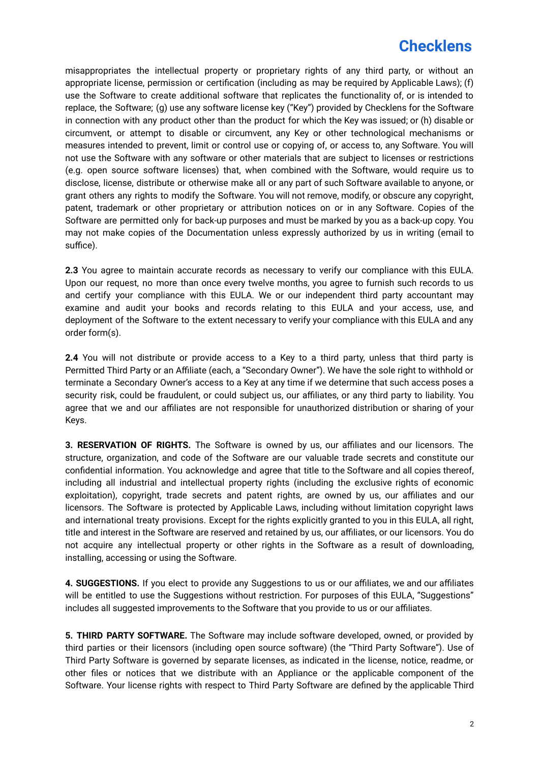misappropriates the intellectual property or proprietary rights of any third party, or without an appropriate license, permission or certification (including as may be required by Applicable Laws); (f) use the Software to create additional software that replicates the functionality of, or is intended to replace, the Software; (g) use any software license key ("Key") provided by Checklens for the Software in connection with any product other than the product for which the Key was issued; or (h) disable or circumvent, or attempt to disable or circumvent, any Key or other technological mechanisms or measures intended to prevent, limit or control use or copying of, or access to, any Software. You will not use the Software with any software or other materials that are subject to licenses or restrictions (e.g. open source software licenses) that, when combined with the Software, would require us to disclose, license, distribute or otherwise make all or any part of such Software available to anyone, or grant others any rights to modify the Software. You will not remove, modify, or obscure any copyright, patent, trademark or other proprietary or attribution notices on or in any Software. Copies of the Software are permitted only for back-up purposes and must be marked by you as a back-up copy. You may not make copies of the Documentation unless expressly authorized by us in writing (email to suffice).

**2.3** You agree to maintain accurate records as necessary to verify our compliance with this EULA. Upon our request, no more than once every twelve months, you agree to furnish such records to us and certify your compliance with this EULA. We or our independent third party accountant may examine and audit your books and records relating to this EULA and your access, use, and deployment of the Software to the extent necessary to verify your compliance with this EULA and any order form(s).

**2.4** You will not distribute or provide access to a Key to a third party, unless that third party is Permitted Third Party or an Affiliate (each, a "Secondary Owner"). We have the sole right to withhold or terminate a Secondary Owner's access to a Key at any time if we determine that such access poses a security risk, could be fraudulent, or could subject us, our affiliates, or any third party to liability. You agree that we and our affiliates are not responsible for unauthorized distribution or sharing of your Keys.

**3. RESERVATION OF RIGHTS.** The Software is owned by us, our affiliates and our licensors. The structure, organization, and code of the Software are our valuable trade secrets and constitute our confidential information. You acknowledge and agree that title to the Software and all copies thereof, including all industrial and intellectual property rights (including the exclusive rights of economic exploitation), copyright, trade secrets and patent rights, are owned by us, our affiliates and our licensors. The Software is protected by Applicable Laws, including without limitation copyright laws and international treaty provisions. Except for the rights explicitly granted to you in this EULA, all right, title and interest in the Software are reserved and retained by us, our affiliates, or our licensors. You do not acquire any intellectual property or other rights in the Software as a result of downloading, installing, accessing or using the Software.

**4. SUGGESTIONS.** If you elect to provide any Suggestions to us or our affiliates, we and our affiliates will be entitled to use the Suggestions without restriction. For purposes of this EULA, "Suggestions" includes all suggested improvements to the Software that you provide to us or our affiliates.

**5. THIRD PARTY SOFTWARE.** The Software may include software developed, owned, or provided by third parties or their licensors (including open source software) (the "Third Party Software"). Use of Third Party Software is governed by separate licenses, as indicated in the license, notice, readme, or other files or notices that we distribute with an Appliance or the applicable component of the Software. Your license rights with respect to Third Party Software are defined by the applicable Third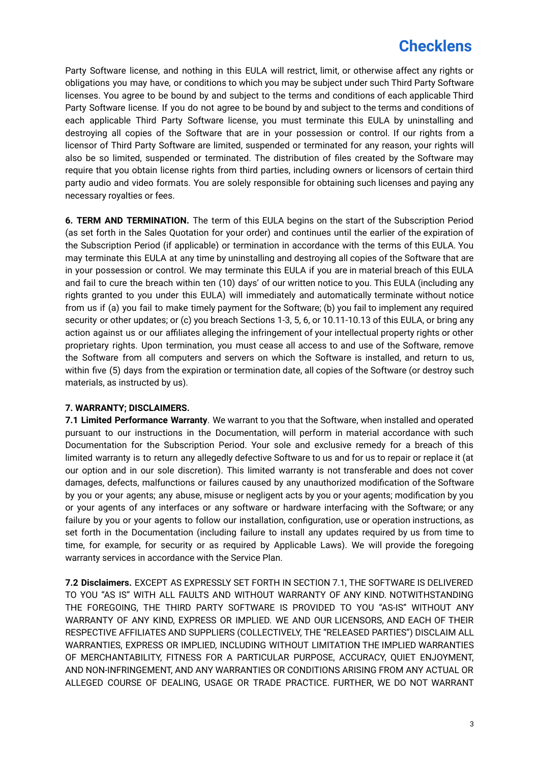Party Software license, and nothing in this EULA will restrict, limit, or otherwise affect any rights or obligations you may have, or conditions to which you may be subject under such Third Party Software licenses. You agree to be bound by and subject to the terms and conditions of each applicable Third Party Software license. If you do not agree to be bound by and subject to the terms and conditions of each applicable Third Party Software license, you must terminate this EULA by uninstalling and destroying all copies of the Software that are in your possession or control. If our rights from a licensor of Third Party Software are limited, suspended or terminated for any reason, your rights will also be so limited, suspended or terminated. The distribution of files created by the Software may require that you obtain license rights from third parties, including owners or licensors of certain third party audio and video formats. You are solely responsible for obtaining such licenses and paying any necessary royalties or fees.

**6. TERM AND TERMINATION.** The term of this EULA begins on the start of the Subscription Period (as set forth in the Sales Quotation for your order) and continues until the earlier of the expiration of the Subscription Period (if applicable) or termination in accordance with the terms of this EULA. You may terminate this EULA at any time by uninstalling and destroying all copies of the Software that are in your possession or control. We may terminate this EULA if you are in material breach of this EULA and fail to cure the breach within ten (10) days' of our written notice to you. This EULA (including any rights granted to you under this EULA) will immediately and automatically terminate without notice from us if (a) you fail to make timely payment for the Software; (b) you fail to implement any required security or other updates; or (c) you breach Sections 1-3, 5, 6, or 10.11-10.13 of this EULA, or bring any action against us or our affiliates alleging the infringement of your intellectual property rights or other proprietary rights. Upon termination, you must cease all access to and use of the Software, remove the Software from all computers and servers on which the Software is installed, and return to us, within five (5) days from the expiration or termination date, all copies of the Software (or destroy such materials, as instructed by us).

#### **7. WARRANTY; DISCLAIMERS.**

**7.1 Limited Performance Warranty**. We warrant to you that the Software, when installed and operated pursuant to our instructions in the Documentation, will perform in material accordance with such Documentation for the Subscription Period. Your sole and exclusive remedy for a breach of this limited warranty is to return any allegedly defective Software to us and for us to repair or replace it (at our option and in our sole discretion). This limited warranty is not transferable and does not cover damages, defects, malfunctions or failures caused by any unauthorized modification of the Software by you or your agents; any abuse, misuse or negligent acts by you or your agents; modification by you or your agents of any interfaces or any software or hardware interfacing with the Software; or any failure by you or your agents to follow our installation, configuration, use or operation instructions, as set forth in the Documentation (including failure to install any updates required by us from time to time, for example, for security or as required by Applicable Laws). We will provide the foregoing warranty services in accordance with the Service Plan.

**7.2 Disclaimers.** EXCEPT AS EXPRESSLY SET FORTH IN SECTION 7.1, THE SOFTWARE IS DELIVERED TO YOU "AS IS" WITH ALL FAULTS AND WITHOUT WARRANTY OF ANY KIND. NOTWITHSTANDING THE FOREGOING, THE THIRD PARTY SOFTWARE IS PROVIDED TO YOU "AS-IS" WITHOUT ANY WARRANTY OF ANY KIND, EXPRESS OR IMPLIED. WE AND OUR LICENSORS, AND EACH OF THEIR RESPECTIVE AFFILIATES AND SUPPLIERS (COLLECTIVELY, THE "RELEASED PARTIES") DISCLAIM ALL WARRANTIES, EXPRESS OR IMPLIED, INCLUDING WITHOUT LIMITATION THE IMPLIED WARRANTIES OF MERCHANTABILITY, FITNESS FOR A PARTICULAR PURPOSE, ACCURACY, QUIET ENJOYMENT, AND NON-INFRINGEMENT, AND ANY WARRANTIES OR CONDITIONS ARISING FROM ANY ACTUAL OR ALLEGED COURSE OF DEALING, USAGE OR TRADE PRACTICE. FURTHER, WE DO NOT WARRANT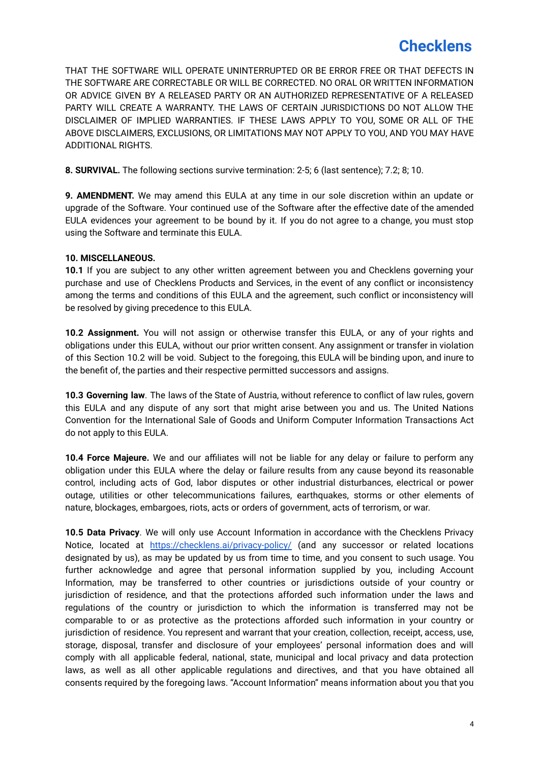THAT THE SOFTWARE WILL OPERATE UNINTERRUPTED OR BE ERROR FREE OR THAT DEFECTS IN THE SOFTWARE ARE CORRECTABLE OR WILL BE CORRECTED. NO ORAL OR WRITTEN INFORMATION OR ADVICE GIVEN BY A RELEASED PARTY OR AN AUTHORIZED REPRESENTATIVE OF A RELEASED PARTY WILL CREATE A WARRANTY. THE LAWS OF CERTAIN JURISDICTIONS DO NOT ALLOW THE DISCLAIMER OF IMPLIED WARRANTIES. IF THESE LAWS APPLY TO YOU, SOME OR ALL OF THE ABOVE DISCLAIMERS, EXCLUSIONS, OR LIMITATIONS MAY NOT APPLY TO YOU, AND YOU MAY HAVE ADDITIONAL RIGHTS.

**8. SURVIVAL.** The following sections survive termination: 2-5; 6 (last sentence); 7.2; 8; 10.

**9. AMENDMENT.** We may amend this EULA at any time in our sole discretion within an update or upgrade of the Software. Your continued use of the Software after the effective date of the amended EULA evidences your agreement to be bound by it. If you do not agree to a change, you must stop using the Software and terminate this EULA.

#### **10. MISCELLANEOUS.**

**10.1** If you are subject to any other written agreement between you and Checklens governing your purchase and use of Checklens Products and Services, in the event of any conflict or inconsistency among the terms and conditions of this EULA and the agreement, such conflict or inconsistency will be resolved by giving precedence to this EULA.

**10.2 Assignment.** You will not assign or otherwise transfer this EULA, or any of your rights and obligations under this EULA, without our prior written consent. Any assignment or transfer in violation of this Section 10.2 will be void. Subject to the foregoing, this EULA will be binding upon, and inure to the benefit of, the parties and their respective permitted successors and assigns.

**10.3 Governing law**. The laws of the State of Austria, without reference to conflict of law rules, govern this EULA and any dispute of any sort that might arise between you and us. The United Nations Convention for the International Sale of Goods and Uniform Computer Information Transactions Act do not apply to this EULA.

**10.4 Force Majeure.** We and our affiliates will not be liable for any delay or failure to perform any obligation under this EULA where the delay or failure results from any cause beyond its reasonable control, including acts of God, labor disputes or other industrial disturbances, electrical or power outage, utilities or other telecommunications failures, earthquakes, storms or other elements of nature, blockages, embargoes, riots, acts or orders of government, acts of terrorism, or war.

**10.5 Data Privacy**. We will only use Account Information in accordance with the Checklens Privacy Notice, located at <https://checklens.ai/privacy-policy/> (and any successor or related locations designated by us), as may be updated by us from time to time, and you consent to such usage. You further acknowledge and agree that personal information supplied by you, including Account Information, may be transferred to other countries or jurisdictions outside of your country or jurisdiction of residence, and that the protections afforded such information under the laws and regulations of the country or jurisdiction to which the information is transferred may not be comparable to or as protective as the protections afforded such information in your country or jurisdiction of residence. You represent and warrant that your creation, collection, receipt, access, use, storage, disposal, transfer and disclosure of your employees' personal information does and will comply with all applicable federal, national, state, municipal and local privacy and data protection laws, as well as all other applicable regulations and directives, and that you have obtained all consents required by the foregoing laws. "Account Information" means information about you that you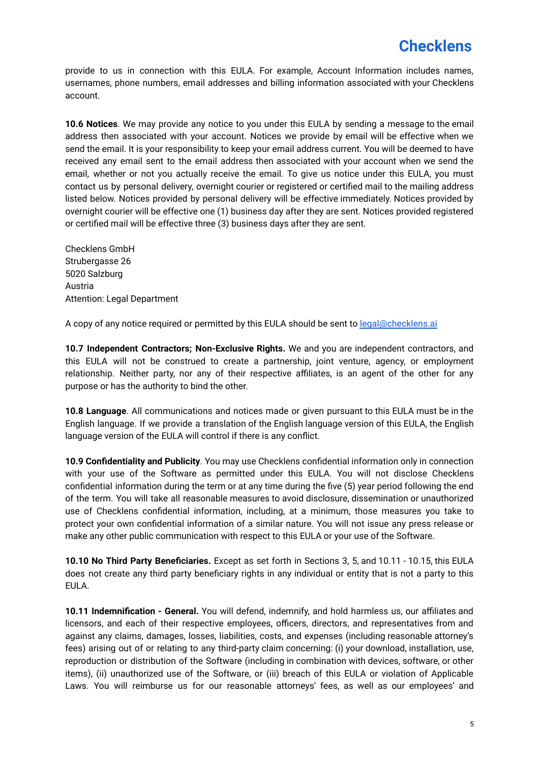provide to us in connection with this EULA. For example, Account Information includes names, usernames, phone numbers, email addresses and billing information associated with your Checklens account.

**10.6 Notices**. We may provide any notice to you under this EULA by sending a message to the email address then associated with your account. Notices we provide by email will be effective when we send the email. It is your responsibility to keep your email address current. You will be deemed to have received any email sent to the email address then associated with your account when we send the email, whether or not you actually receive the email. To give us notice under this EULA, you must contact us by personal delivery, overnight courier or registered or certified mail to the mailing address listed below. Notices provided by personal delivery will be effective immediately. Notices provided by overnight courier will be effective one (1) business day after they are sent. Notices provided registered or certified mail will be effective three (3) business days after they are sent.

Checklens GmbH Strubergasse 26 5020 Salzburg Austria Attention: Legal Department

A copy of any notice required or permitted by this EULA should be sent to [legal@checklens.ai](mailto:legal@checklens.ai)

**10.7 Independent Contractors; Non-Exclusive Rights.** We and you are independent contractors, and this EULA will not be construed to create a partnership, joint venture, agency, or employment relationship. Neither party, nor any of their respective affiliates, is an agent of the other for any purpose or has the authority to bind the other.

**10.8 Language**. All communications and notices made or given pursuant to this EULA must be in the English language. If we provide a translation of the English language version of this EULA, the English language version of the EULA will control if there is any conflict.

**10.9 Confidentiality and Publicity**. You may use Checklens confidential information only in connection with your use of the Software as permitted under this EULA. You will not disclose Checklens confidential information during the term or at any time during the five (5) year period following the end of the term. You will take all reasonable measures to avoid disclosure, dissemination or unauthorized use of Checklens confidential information, including, at a minimum, those measures you take to protect your own confidential information of a similar nature. You will not issue any press release or make any other public communication with respect to this EULA or your use of the Software.

**10.10 No Third Party Beneficiaries.** Except as set forth in Sections 3, 5, and 10.11 - 10.15, this EULA does not create any third party beneficiary rights in any individual or entity that is not a party to this EULA.

**10.11 Indemnification - General.** You will defend, indemnify, and hold harmless us, our affiliates and licensors, and each of their respective employees, officers, directors, and representatives from and against any claims, damages, losses, liabilities, costs, and expenses (including reasonable attorney's fees) arising out of or relating to any third-party claim concerning: (i) your download, installation, use, reproduction or distribution of the Software (including in combination with devices, software, or other items), (ii) unauthorized use of the Software, or (iii) breach of this EULA or violation of Applicable Laws. You will reimburse us for our reasonable attorneys' fees, as well as our employees' and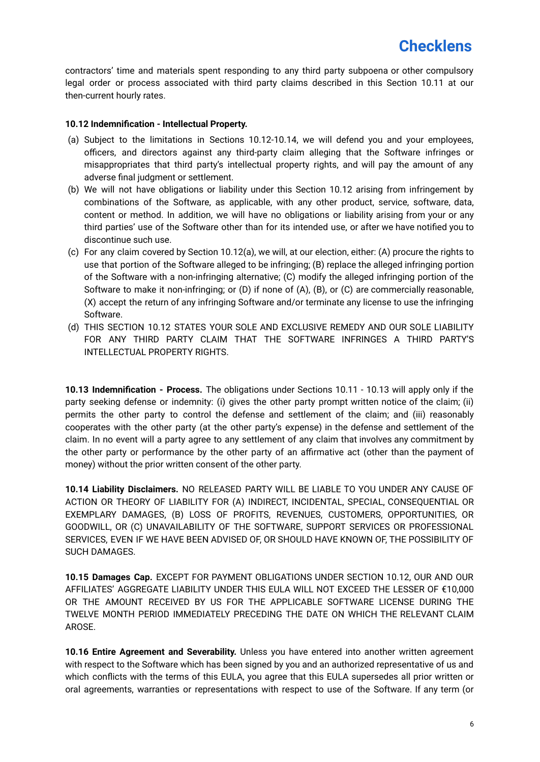contractors' time and materials spent responding to any third party subpoena or other compulsory legal order or process associated with third party claims described in this Section 10.11 at our then-current hourly rates.

#### **10.12 Indemnification - Intellectual Property.**

- (a) Subject to the limitations in Sections 10.12-10.14, we will defend you and your employees, officers, and directors against any third-party claim alleging that the Software infringes or misappropriates that third party's intellectual property rights, and will pay the amount of any adverse final judgment or settlement.
- (b) We will not have obligations or liability under this Section 10.12 arising from infringement by combinations of the Software, as applicable, with any other product, service, software, data, content or method. In addition, we will have no obligations or liability arising from your or any third parties' use of the Software other than for its intended use, or after we have notified you to discontinue such use.
- (c) For any claim covered by Section 10.12(a), we will, at our election, either: (A) procure the rights to use that portion of the Software alleged to be infringing; (B) replace the alleged infringing portion of the Software with a non-infringing alternative; (C) modify the alleged infringing portion of the Software to make it non-infringing; or (D) if none of (A), (B), or (C) are commercially reasonable, (X) accept the return of any infringing Software and/or terminate any license to use the infringing Software.
- (d) THIS SECTION 10.12 STATES YOUR SOLE AND EXCLUSIVE REMEDY AND OUR SOLE LIABILITY FOR ANY THIRD PARTY CLAIM THAT THE SOFTWARE INFRINGES A THIRD PARTY'S INTELLECTUAL PROPERTY RIGHTS.

**10.13 Indemnification - Process.** The obligations under Sections 10.11 - 10.13 will apply only if the party seeking defense or indemnity: (i) gives the other party prompt written notice of the claim; (ii) permits the other party to control the defense and settlement of the claim; and (iii) reasonably cooperates with the other party (at the other party's expense) in the defense and settlement of the claim. In no event will a party agree to any settlement of any claim that involves any commitment by the other party or performance by the other party of an affirmative act (other than the payment of money) without the prior written consent of the other party.

**10.14 Liability Disclaimers.** NO RELEASED PARTY WILL BE LIABLE TO YOU UNDER ANY CAUSE OF ACTION OR THEORY OF LIABILITY FOR (A) INDIRECT, INCIDENTAL, SPECIAL, CONSEQUENTIAL OR EXEMPLARY DAMAGES, (B) LOSS OF PROFITS, REVENUES, CUSTOMERS, OPPORTUNITIES, OR GOODWILL, OR (C) UNAVAILABILITY OF THE SOFTWARE, SUPPORT SERVICES OR PROFESSIONAL SERVICES, EVEN IF WE HAVE BEEN ADVISED OF, OR SHOULD HAVE KNOWN OF, THE POSSIBILITY OF SUCH DAMAGES.

**10.15 Damages Cap.** EXCEPT FOR PAYMENT OBLIGATIONS UNDER SECTION 10.12, OUR AND OUR AFFILIATES' AGGREGATE LIABILITY UNDER THIS EULA WILL NOT EXCEED THE LESSER OF €10,000 OR THE AMOUNT RECEIVED BY US FOR THE APPLICABLE SOFTWARE LICENSE DURING THE TWELVE MONTH PERIOD IMMEDIATELY PRECEDING THE DATE ON WHICH THE RELEVANT CLAIM AROSE.

**10.16 Entire Agreement and Severability.** Unless you have entered into another written agreement with respect to the Software which has been signed by you and an authorized representative of us and which conflicts with the terms of this EULA, you agree that this EULA supersedes all prior written or oral agreements, warranties or representations with respect to use of the Software. If any term (or